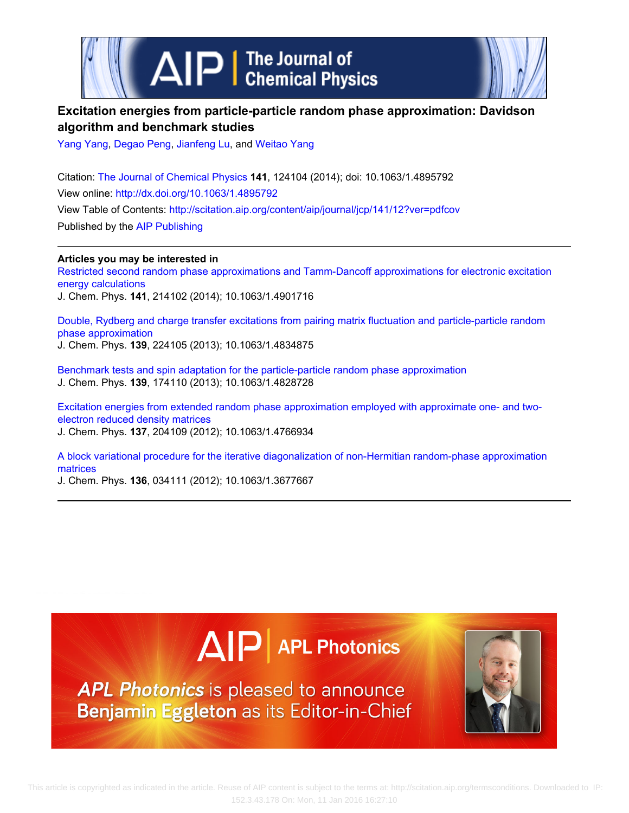

# **Excitation energies from particle-particle random phase approximation: Davidson algorithm and benchmark studies**

[Yang Yang](http://scitation.aip.org/search?value1=Yang+Yang&option1=author), [Degao Peng,](http://scitation.aip.org/search?value1=Degao+Peng&option1=author) [Jianfeng Lu,](http://scitation.aip.org/search?value1=Jianfeng+Lu&option1=author) and [Weitao Yang](http://scitation.aip.org/search?value1=Weitao+Yang&option1=author)

Citation: [The Journal of Chemical Physics](http://scitation.aip.org/content/aip/journal/jcp?ver=pdfcov) **141**, 124104 (2014); doi: 10.1063/1.4895792 View online: <http://dx.doi.org/10.1063/1.4895792> View Table of Contents: <http://scitation.aip.org/content/aip/journal/jcp/141/12?ver=pdfcov> Published by the [AIP Publishing](http://scitation.aip.org/content/aip?ver=pdfcov)

**Articles you may be interested in** [Restricted second random phase approximations and Tamm-Dancoff approximations for electronic excitation](http://scitation.aip.org/content/aip/journal/jcp/141/21/10.1063/1.4901716?ver=pdfcov) [energy calculations](http://scitation.aip.org/content/aip/journal/jcp/141/21/10.1063/1.4901716?ver=pdfcov) J. Chem. Phys. **141**, 214102 (2014); 10.1063/1.4901716

[Double, Rydberg and charge transfer excitations from pairing matrix fluctuation and particle-particle random](http://scitation.aip.org/content/aip/journal/jcp/139/22/10.1063/1.4834875?ver=pdfcov) [phase approximation](http://scitation.aip.org/content/aip/journal/jcp/139/22/10.1063/1.4834875?ver=pdfcov) J. Chem. Phys. **139**, 224105 (2013); 10.1063/1.4834875

[Benchmark tests and spin adaptation for the particle-particle random phase approximation](http://scitation.aip.org/content/aip/journal/jcp/139/17/10.1063/1.4828728?ver=pdfcov) J. Chem. Phys. **139**, 174110 (2013); 10.1063/1.4828728

[Excitation energies from extended random phase approximation employed with approximate one- and two](http://scitation.aip.org/content/aip/journal/jcp/137/20/10.1063/1.4766934?ver=pdfcov)[electron reduced density matrices](http://scitation.aip.org/content/aip/journal/jcp/137/20/10.1063/1.4766934?ver=pdfcov) J. Chem. Phys. **137**, 204109 (2012); 10.1063/1.4766934

[A block variational procedure for the iterative diagonalization of non-Hermitian random-phase approximation](http://scitation.aip.org/content/aip/journal/jcp/136/3/10.1063/1.3677667?ver=pdfcov) [matrices](http://scitation.aip.org/content/aip/journal/jcp/136/3/10.1063/1.3677667?ver=pdfcov)

J. Chem. Phys. **136**, 034111 (2012); 10.1063/1.3677667

# $\Delta$   $\vert$  P  $\vert$  APL Photonics

APL Photonics is pleased to announce Benjamin Eggleton as its Editor-in-Chief

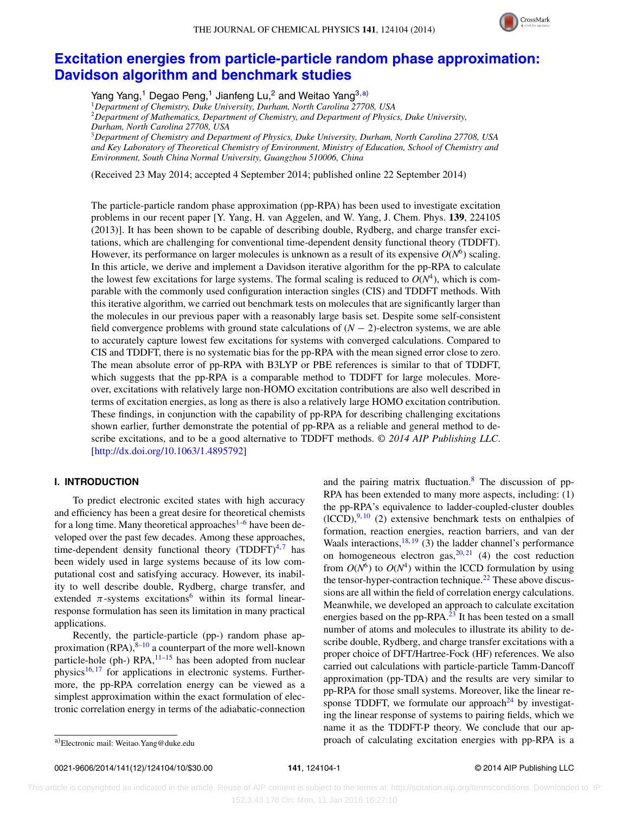

## **[Excitation energies from particle-particle random phase approximation:](http://dx.doi.org/10.1063/1.4895792) [Davidson algorithm and benchmark studies](http://dx.doi.org/10.1063/1.4895792)**

Yang Yang,<sup>1</sup> Degao Peng,<sup>1</sup> Jianfeng Lu,<sup>2</sup> and Weitao Yang<sup>3[,a\)](#page-1-0)</sup>

<sup>1</sup>*Department of Chemistry, Duke University, Durham, North Carolina 27708, USA*

<sup>2</sup>*Department of Mathematics, Department of Chemistry, and Department of Physics, Duke University, Durham, North Carolina 27708, USA*

<sup>3</sup>*Department of Chemistry and Department of Physics, Duke University, Durham, North Carolina 27708, USA and Key Laboratory of Theoretical Chemistry of Environment, Ministry of Education, School of Chemistry and Environment, South China Normal University, Guangzhou 510006, China*

(Received 23 May 2014; accepted 4 September 2014; published online 22 September 2014)

The particle-particle random phase approximation (pp-RPA) has been used to investigate excitation problems in our recent paper [Y. Yang, H. van Aggelen, and W. Yang, J. Chem. Phys. **139**, 224105 (2013)]. It has been shown to be capable of describing double, Rydberg, and charge transfer excitations, which are challenging for conventional time-dependent density functional theory (TDDFT). However, its performance on larger molecules is unknown as a result of its expensive  $O(N<sup>6</sup>)$  scaling. In this article, we derive and implement a Davidson iterative algorithm for the pp-RPA to calculate the lowest few excitations for large systems. The formal scaling is reduced to  $O(N^4)$ , which is comparable with the commonly used configuration interaction singles (CIS) and TDDFT methods. With this iterative algorithm, we carried out benchmark tests on molecules that are significantly larger than the molecules in our previous paper with a reasonably large basis set. Despite some self-consistent field convergence problems with ground state calculations of  $(N - 2)$ -electron systems, we are able to accurately capture lowest few excitations for systems with converged calculations. Compared to CIS and TDDFT, there is no systematic bias for the pp-RPA with the mean signed error close to zero. The mean absolute error of pp-RPA with B3LYP or PBE references is similar to that of TDDFT, which suggests that the pp-RPA is a comparable method to TDDFT for large molecules. Moreover, excitations with relatively large non-HOMO excitation contributions are also well described in terms of excitation energies, as long as there is also a relatively large HOMO excitation contribution. These findings, in conjunction with the capability of pp-RPA for describing challenging excitations shown earlier, further demonstrate the potential of pp-RPA as a reliable and general method to describe excitations, and to be a good alternative to TDDFT methods. *© 2014 AIP Publishing LLC*. [\[http://dx.doi.org/10.1063/1.4895792\]](http://dx.doi.org/10.1063/1.4895792)

#### **I. INTRODUCTION**

To predict electronic excited states with high accuracy and efficiency has been a great desire for theoretical chemists for a long time. Many theoretical approaches<sup>[1–](#page-10-0)[6](#page-10-1)</sup> have been developed over the past few decades. Among these approaches, time-dependent density functional theory (TDDFT) $4,7$  $4,7$  has been widely used in large systems because of its low computational cost and satisfying accuracy. However, its inability to well describe double, Rydberg, charge transfer, and extended  $\pi$ -systems excitations<sup>[6](#page-10-1)</sup> within its formal linearresponse formulation has seen its limitation in many practical applications.

Recently, the particle-particle (pp-) random phase approximation  $(RPA)$ ,<sup>[8](#page-10-4)[–10](#page-10-5)</sup> a counterpart of the more well-known particle-hole (ph-)  $RPA$ ,  $11-15$  $11-15$  has been adopted from nuclear physics<sup>[16,](#page-10-8) [17](#page-10-9)</sup> for applications in electronic systems. Furthermore, the pp-RPA correlation energy can be viewed as a simplest approximation within the exact formulation of electronic correlation energy in terms of the adiabatic-connection and the pairing matrix fluctuation. $8$  The discussion of pp-RPA has been extended to many more aspects, including: (1) the pp-RPA's equivalence to ladder-coupled-cluster doubles  $(ICCD)$ ,  $(9, 10)$  $(9, 10)$  $(9, 10)$  (2) extensive benchmark tests on enthalpies of formation, reaction energies, reaction barriers, and van der Waals interactions,  $18, 19$  $18, 19$  (3) the ladder channel's performance on homogeneous electron gas,  $20, 21$  $20, 21$  $20, 21$  (4) the cost reduction from  $O(N^6)$  to  $O(N^4)$  within the ICCD formulation by using the tensor-hyper-contraction technique.<sup>22</sup> These above discussions are all within the field of correlation energy calculations. Meanwhile, we developed an approach to calculate excitation energies based on the pp-RPA. $^{23}$  $^{23}$  $^{23}$  It has been tested on a small number of atoms and molecules to illustrate its ability to describe double, Rydberg, and charge transfer excitations with a proper choice of DFT/Hartree-Fock (HF) references. We also carried out calculations with particle-particle Tamm-Dancoff approximation (pp-TDA) and the results are very similar to pp-RPA for those small systems. Moreover, like the linear response TDDFT, we formulate our approach<sup>24</sup> by investigating the linear response of systems to pairing fields, which we name it as the TDDFT-P theory. We conclude that our approach of calculating excitation energies with pp-RPA is a

0021-9606/2014/141(12)/124104/10/\$30.00 **141**, 124104-1 © 2014 AIP Publishing LLC

<span id="page-1-0"></span>a)Electronic mail: [Weitao.Yang@duke.edu](mailto: Weitao.Yang@duke.edu)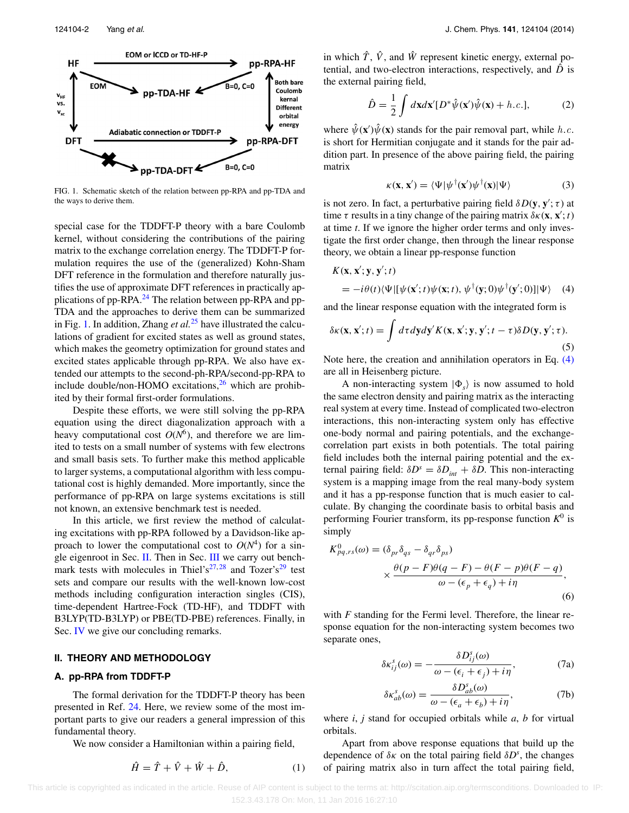<span id="page-2-0"></span>

FIG. 1. Schematic sketch of the relation between pp-RPA and pp-TDA and the ways to derive them.

special case for the TDDFT-P theory with a bare Coulomb kernel, without considering the contributions of the pairing matrix to the exchange correlation energy. The TDDFT-P formulation requires the use of the (generalized) Kohn-Sham DFT reference in the formulation and therefore naturally justifies the use of approximate DFT references in practically ap-plications of pp-RPA.<sup>[24](#page-10-17)</sup> The relation between pp-RPA and pp-TDA and the approaches to derive them can be summarized in Fig. [1.](#page-2-0) In addition, Zhang *et al.*[25](#page-10-18) have illustrated the calculations of gradient for excited states as well as ground states, which makes the geometry optimization for ground states and excited states applicable through pp-RPA. We also have extended our attempts to the second-ph-RPA/second-pp-RPA to include double/non-HOMO excitations, $^{26}$  $^{26}$  $^{26}$  which are prohibited by their formal first-order formulations.

Despite these efforts, we were still solving the pp-RPA equation using the direct diagonalization approach with a heavy computational cost  $O(N^6)$ , and therefore we are limited to tests on a small number of systems with few electrons and small basis sets. To further make this method applicable to larger systems, a computational algorithm with less computational cost is highly demanded. More importantly, since the performance of pp-RPA on large systems excitations is still not known, an extensive benchmark test is needed.

In this article, we first review the method of calculating excitations with pp-RPA followed by a Davidson-like approach to lower the computational cost to  $O(N^4)$  for a single eigenroot in Sec. [II.](#page-2-1) Then in Sec. [III](#page-4-0) we carry out bench-mark tests with molecules in Thiel's<sup>27,[28](#page-10-21)</sup> and Tozer's<sup>[29](#page-10-22)</sup> test sets and compare our results with the well-known low-cost methods including configuration interaction singles (CIS), time-dependent Hartree-Fock (TD-HF), and TDDFT with B3LYP(TD-B3LYP) or PBE(TD-PBE) references. Finally, in Sec. [IV](#page-9-0) we give our concluding remarks.

#### <span id="page-2-1"></span>**II. THEORY AND METHODOLOGY**

#### **A. pp-RPA from TDDFT-P**

The formal derivation for the TDDFT-P theory has been presented in Ref. [24.](#page-10-17) Here, we review some of the most important parts to give our readers a general impression of this fundamental theory.

We now consider a Hamiltonian within a pairing field,

$$
\hat{H} = \hat{T} + \hat{V} + \hat{W} + \hat{D},\tag{1}
$$

in which  $\hat{T}$ ,  $\hat{V}$ , and  $\hat{W}$  represent kinetic energy, external potential, and two-electron interactions, respectively, and  $\hat{D}$  is the external pairing field,

$$
\hat{D} = \frac{1}{2} \int d\mathbf{x} d\mathbf{x}' [D^* \hat{\psi}(\mathbf{x}') \hat{\psi}(\mathbf{x}) + h.c.], \tag{2}
$$

where  $\hat{\psi}(\mathbf{x}')\hat{\psi}(\mathbf{x})$  stands for the pair removal part, while h.c. is short for Hermitian conjugate and it stands for the pair addition part. In presence of the above pairing field, the pairing matrix

<span id="page-2-2"></span>
$$
\kappa(\mathbf{x}, \mathbf{x}') = \langle \Psi | \psi^\dagger(\mathbf{x}') \psi^\dagger(\mathbf{x}) | \Psi \rangle \tag{3}
$$

is not zero. In fact, a perturbative pairing field  $\delta D(\mathbf{y}, \mathbf{y}'; \tau)$  at time  $\tau$  results in a tiny change of the pairing matrix  $\delta \kappa(\mathbf{x}, \mathbf{x}'; t)$ at time *t*. If we ignore the higher order terms and only investigate the first order change, then through the linear response theory, we obtain a linear pp-response function

$$
K(\mathbf{x}, \mathbf{x}'; \mathbf{y}, \mathbf{y}'; t)
$$
  
=  $-i\theta(t)\langle\Psi|[\psi(\mathbf{x}'; t)\psi(\mathbf{x}; t), \psi^{\dagger}(\mathbf{y}; 0)\psi^{\dagger}(\mathbf{y}'; 0)]|\Psi\rangle$  (4)

and the linear response equation with the integrated form is

$$
\delta \kappa(\mathbf{x}, \mathbf{x}'; t) = \int d\tau dy dy' K(\mathbf{x}, \mathbf{x}'; \mathbf{y}, \mathbf{y}'; t - \tau) \delta D(\mathbf{y}, \mathbf{y}'; \tau).
$$
\n(5)

Note here, the creation and annihilation operators in Eq. [\(4\)](#page-2-2) are all in Heisenberg picture.

A non-interacting system  $|\Phi_{s}\rangle$  is now assumed to hold the same electron density and pairing matrix as the interacting real system at every time. Instead of complicated two-electron interactions, this non-interacting system only has effective one-body normal and pairing potentials, and the exchangecorrelation part exists in both potentials. The total pairing field includes both the internal pairing potential and the external pairing field:  $\delta D^s = \delta D_{int} + \delta D$ . This non-interacting system is a mapping image from the real many-body system and it has a pp-response function that is much easier to calculate. By changing the coordinate basis to orbital basis and performing Fourier transform, its pp-response function  $K^0$  is simply

$$
K_{pq,rs}^{0}(\omega) = (\delta_{pr}\delta_{qs} - \delta_{qr}\delta_{ps})
$$
  
 
$$
\times \frac{\theta(p - F)\theta(q - F) - \theta(F - p)\theta(F - q)}{\omega - (\epsilon_{p} + \epsilon_{q}) + i\eta},
$$
  
(6)

with *F* standing for the Fermi level. Therefore, the linear response equation for the non-interacting system becomes two separate ones,

$$
\delta \kappa_{ij}^s(\omega) = -\frac{\delta D_{ij}^s(\omega)}{\omega - (\epsilon_i + \epsilon_j) + i\eta},\tag{7a}
$$

$$
\delta \kappa_{ab}^s(\omega) = \frac{\delta D_{ab}^s(\omega)}{\omega - (\epsilon_a + \epsilon_b) + i\eta},\tag{7b}
$$

where *i*, *j* stand for occupied orbitals while *a*, *b* for virtual orbitals.

Apart from above response equations that build up the dependence of  $\delta \kappa$  on the total pairing field  $\delta D^s$ , the changes of pairing matrix also in turn affect the total pairing field,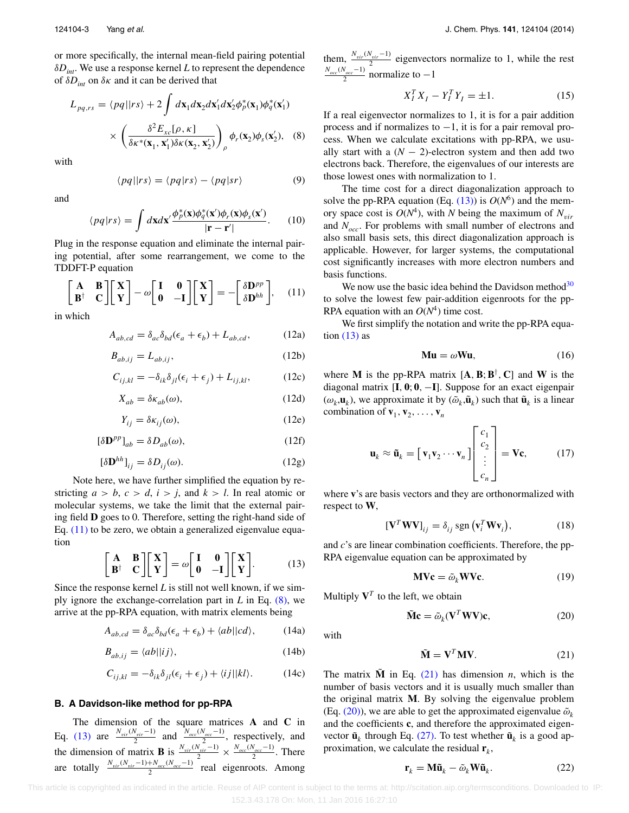or more specifically, the internal mean-field pairing potential *δDint*. We use a response kernel *L* to represent the dependence of  $\delta D_{int}$  on  $\delta \kappa$  and it can be derived that

$$
L_{pq,rs} = \langle pq||rs\rangle + 2 \int d\mathbf{x}_1 d\mathbf{x}_2 d\mathbf{x}'_1 d\mathbf{x}'_2 \phi_p^*(\mathbf{x}_1) \phi_q^*(\mathbf{x}'_1)
$$

$$
\times \left(\frac{\delta^2 E_{xc}[\rho, \kappa]}{\delta \kappa^*(\mathbf{x}_1, \mathbf{x}'_1) \delta \kappa(\mathbf{x}_2, \mathbf{x}'_2)}\right)_{\rho} \phi_r(\mathbf{x}_2) \phi_s(\mathbf{x}'_2), \quad (8)
$$

with

$$
\langle pq||rs\rangle = \langle pq|rs\rangle - \langle pq|sr\rangle \tag{9}
$$

and

$$
\langle pq|rs\rangle = \int d\mathbf{x}d\mathbf{x}' \frac{\phi_p^*(\mathbf{x})\phi_q^*(\mathbf{x}')\phi_r(\mathbf{x})\phi_s(\mathbf{x}')}{|\mathbf{r} - \mathbf{r}'|}.
$$
 (10)

Plug in the response equation and eliminate the internal pairing potential, after some rearrangement, we come to the TDDFT-P equation

<span id="page-3-0"></span>
$$
\begin{bmatrix} \mathbf{A} & \mathbf{B} \\ \mathbf{B}^{\dagger} & \mathbf{C} \end{bmatrix} \begin{bmatrix} \mathbf{X} \\ \mathbf{Y} \end{bmatrix} - \omega \begin{bmatrix} \mathbf{I} & \mathbf{0} \\ \mathbf{0} & -\mathbf{I} \end{bmatrix} \begin{bmatrix} \mathbf{X} \\ \mathbf{Y} \end{bmatrix} = - \begin{bmatrix} \delta \mathbf{D}^{pp} \\ \delta \mathbf{D}^{hh} \end{bmatrix}, \quad (11)
$$

in which

$$
A_{ab,cd} = \delta_{ac}\delta_{bd}(\epsilon_a + \epsilon_b) + L_{ab,cd},\tag{12a}
$$

$$
B_{ab,ij} = L_{ab,ij},\tag{12b}
$$

$$
C_{ij,kl} = -\delta_{ik}\delta_{jl}(\epsilon_i + \epsilon_j) + L_{ij,kl},\tag{12c}
$$

$$
X_{ab} = \delta \kappa_{ab}(\omega),\tag{12d}
$$

$$
Y_{ij} = \delta \kappa_{ij}(\omega),\tag{12e}
$$

$$
[\delta \mathbf{D}^{pp}]_{ab} = \delta D_{ab}(\omega),\tag{12f}
$$

$$
[\delta \mathbf{D}^{hh}]_{ij} = \delta D_{ij}(\omega). \tag{12g}
$$

Note here, we have further simplified the equation by restricting  $a > b$ ,  $c > d$ ,  $i > j$ , and  $k > l$ . In real atomic or molecular systems, we take the limit that the external pairing field **D** goes to 0. Therefore, setting the right-hand side of Eq.  $(11)$  to be zero, we obtain a generalized eigenvalue equation

<span id="page-3-2"></span>
$$
\begin{bmatrix} \mathbf{A} & \mathbf{B} \\ \mathbf{B}^{\dagger} & \mathbf{C} \end{bmatrix} \begin{bmatrix} \mathbf{X} \\ \mathbf{Y} \end{bmatrix} = \omega \begin{bmatrix} \mathbf{I} & \mathbf{0} \\ \mathbf{0} & -\mathbf{I} \end{bmatrix} \begin{bmatrix} \mathbf{X} \\ \mathbf{Y} \end{bmatrix}.
$$
 (13)

Since the response kernel *L* is still not well known, if we simply ignore the exchange-correlation part in *L* in Eq. [\(8\),](#page-3-1) we arrive at the pp-RPA equation, with matrix elements being

$$
A_{ab,cd} = \delta_{ac}\delta_{bd}(\epsilon_a + \epsilon_b) + \langle ab||cd\rangle, \tag{14a}
$$

$$
B_{ab,ij} = \langle ab \mid \mid ij \rangle,\tag{14b}
$$

$$
C_{ij,kl} = -\delta_{ik}\delta_{jl}(\epsilon_i + \epsilon_j) + \langle ij||kl\rangle.
$$
 (14c)

#### **B. A Davidson-like method for pp-RPA**

The dimension of the square matrices **A** and **C** in Eq. [\(13\)](#page-3-2) are  $\frac{N_{vir}(N_{vir}-1)}{2}$  and  $\frac{N_{occ}(N_{occ}-1)}{2}$ , respectively, and the dimension of matrix **B** is  $\frac{N_{vir}(N_{vir}-1)}{2} \times \frac{N_{occ}(N_{occ}-1)}{2}$ . There are totally *Nvir*(*Nvir*−1)+*Nocc* (*Nocc*−1) <sup>2</sup> real eigenroots. Among <span id="page-3-1"></span>them,  $\frac{N_{vir}(N_{vir}-1)}{2}$  eigenvectors normalize to 1, while the rest  $\frac{N_{occ}(N_{occ}-1)}{2}$  normalize to -1

<span id="page-3-6"></span>
$$
X_I^T X_I - Y_I^T Y_I = \pm 1.
$$
 (15)

If a real eigenvector normalizes to 1, it is for a pair addition process and if normalizes to  $-1$ , it is for a pair removal process. When we calculate excitations with pp-RPA, we usually start with a  $(N - 2)$ -electron system and then add two electrons back. Therefore, the eigenvalues of our interests are those lowest ones with normalization to 1.

The time cost for a direct diagonalization approach to solve the pp-RPA equation (Eq.  $(13)$ ) is  $O(N^6)$  and the memory space cost is  $O(N^4)$ , with *N* being the maximum of  $N_{vir}$ and *Nocc*. For problems with small number of electrons and also small basis sets, this direct diagonalization approach is applicable. However, for larger systems, the computational cost significantly increases with more electron numbers and basis functions.

We now use the basic idea behind the Davidson method $30$ to solve the lowest few pair-addition eigenroots for the pp-RPA equation with an  $O(N^4)$  time cost.

We first simplify the notation and write the pp-RPA equation  $(13)$  as

$$
\mathbf{M}\mathbf{u} = \omega \mathbf{W}\mathbf{u},\tag{16}
$$

where **M** is the pp-RPA matrix  $[A, B, B^{\dagger}, C]$  and **W** is the diagonal matrix [**I***,* **0**; **0***,* −**I**]. Suppose for an exact eigenpair  $(\omega_k, \mathbf{u}_k)$ , we approximate it by  $(\tilde{\omega}_k, \tilde{\mathbf{u}}_k)$  such that  $\tilde{\mathbf{u}}_k$  is a linear combination of  $\mathbf{v}_1, \mathbf{v}_2, \ldots, \mathbf{v}_n$ 

$$
\mathbf{u}_{k} \approx \tilde{\mathbf{u}}_{k} = \begin{bmatrix} \mathbf{v}_{1} \mathbf{v}_{2} \cdots \mathbf{v}_{n} \end{bmatrix} \begin{bmatrix} c_{1} \\ c_{2} \\ \vdots \\ c_{n} \end{bmatrix} = \mathbf{V} \mathbf{c}, \quad (17)
$$

where **v**'s are basis vectors and they are orthonormalized with respect to **W**,

$$
\left[\mathbf{V}^T \mathbf{W} \mathbf{V}\right]_{ij} = \delta_{ij} \operatorname{sgn}\left(\mathbf{v}_i^T \mathbf{W} \mathbf{v}_i\right),\tag{18}
$$

and *c*'s are linear combination coefficients. Therefore, the pp-RPA eigenvalue equation can be approximated by

<span id="page-3-4"></span>
$$
MVc = \tilde{\omega}_k WVc.
$$
 (19)

Multiply  $V^T$  to the left, we obtain

$$
\tilde{\mathbf{M}}\mathbf{c} = \tilde{\omega}_k(\mathbf{V}^T \mathbf{W} \mathbf{V})\mathbf{c},\tag{20}
$$

<span id="page-3-3"></span>with

$$
\tilde{\mathbf{M}} = \mathbf{V}^T \mathbf{M} \mathbf{V}.
$$
 (21)

The matrix **M** in Eq. [\(21\)](#page-3-3) has dimension *n*, which is the number of basis vectors and it is usually much smaller than the original matrix **M**. By solving the eigenvalue problem (Eq. [\(20\)\)](#page-3-4), we are able to get the approximated eigenvalue  $\tilde{\omega}_k$ and the coefficients **c**, and therefore the approximated eigenvector  $\tilde{\mathbf{u}}_k$  through Eq. [\(27\).](#page-4-1) To test whether  $\tilde{\mathbf{u}}_k$  is a good approximation, we calculate the residual  $\mathbf{r}_k$ ,

<span id="page-3-5"></span>
$$
\mathbf{r}_k = \mathbf{M}\tilde{\mathbf{u}}_k - \tilde{\omega}_k \mathbf{W}\tilde{\mathbf{u}}_k. \tag{22}
$$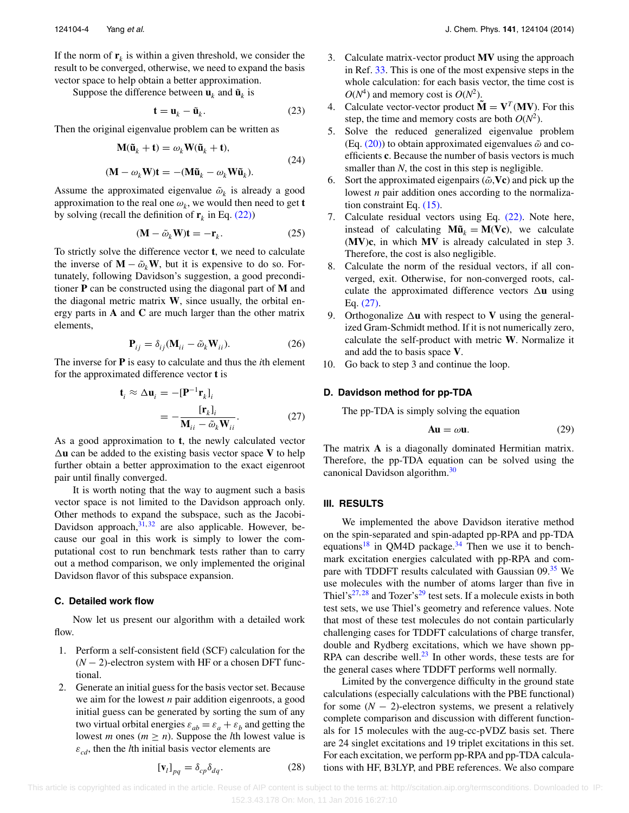If the norm of  $\mathbf{r}_k$  is within a given threshold, we consider the result to be converged, otherwise, we need to expand the basis vector space to help obtain a better approximation.

Suppose the difference between  $\mathbf{u}_k$  and  $\tilde{\mathbf{u}}_k$  is

$$
\mathbf{t} = \mathbf{u}_k - \tilde{\mathbf{u}}_k. \tag{23}
$$

Then the original eigenvalue problem can be written as

$$
M(\tilde{u}_k + t) = \omega_k W(\tilde{u}_k + t),
$$
  
( $M - \omega_k W$ )t = -( $M\tilde{u}_k - \omega_k W\tilde{u}_k$ ). (24)

Assume the approximated eigenvalue  $\tilde{\omega}_k$  is already a good approximation to the real one  $\omega_k$ , we would then need to get **t** by solving (recall the definition of  $\mathbf{r}_k$  in Eq. [\(22\)\)](#page-3-5)

$$
(\mathbf{M} - \tilde{\omega}_k \mathbf{W}) \mathbf{t} = -\mathbf{r}_k. \tag{25}
$$

To strictly solve the difference vector **t**, we need to calculate the inverse of  $\mathbf{M} - \tilde{\omega}_k \mathbf{W}$ , but it is expensive to do so. Fortunately, following Davidson's suggestion, a good preconditioner **P** can be constructed using the diagonal part of **M** and the diagonal metric matrix **W**, since usually, the orbital energy parts in **A** and **C** are much larger than the other matrix elements,

$$
\mathbf{P}_{ij} = \delta_{ij} (\mathbf{M}_{ii} - \tilde{\omega}_k \mathbf{W}_{ii}).
$$
 (26)

The inverse for **P** is easy to calculate and thus the *i*th element for the approximated difference vector **t** is

$$
\mathbf{t}_{i} \approx \Delta \mathbf{u}_{i} = -[\mathbf{P}^{-1} \mathbf{r}_{k}]_{i}
$$

$$
= -\frac{[\mathbf{r}_{k}]_{i}}{\mathbf{M}_{ii} - \tilde{\omega}_{k} \mathbf{W}_{ii}}.
$$
(27)

As a good approximation to **t**, the newly calculated vector  $\Delta$ **u** can be added to the existing basis vector space **V** to help further obtain a better approximation to the exact eigenroot pair until finally converged.

It is worth noting that the way to augment such a basis vector space is not limited to the Davidson approach only. Other methods to expand the subspace, such as the Jacobi-Davidson approach, $31, 32$  $31, 32$  are also applicable. However, because our goal in this work is simply to lower the computational cost to run benchmark tests rather than to carry out a method comparison, we only implemented the original Davidson flavor of this subspace expansion.

#### **C. Detailed work flow**

Now let us present our algorithm with a detailed work flow.

- 1. Perform a self-consistent field (SCF) calculation for the (*N* − 2)-electron system with HF or a chosen DFT functional.
- 2. Generate an initial guess for the basis vector set. Because we aim for the lowest *n* pair addition eigenroots, a good initial guess can be generated by sorting the sum of any two virtual orbital energies  $\varepsilon_{ab} = \varepsilon_a + \varepsilon_b$  and getting the lowest *m* ones ( $m \ge n$ ). Suppose the *l*th lowest value is  $\varepsilon_{cd}$ , then the *l*th initial basis vector elements are

$$
\left[\mathbf{v}_{l}\right]_{pq} = \delta_{cp}\delta_{dq}.\tag{28}
$$

- 3. Calculate matrix-vector product **MV** using the approach in Ref. [33.](#page-10-26) This is one of the most expensive steps in the whole calculation: for each basis vector, the time cost is  $O(N^4)$  and memory cost is  $O(N^2)$ .
- 4. Calculate vector-vector product  $\tilde{\mathbf{M}} = \mathbf{V}^T(\mathbf{M}\mathbf{V})$ . For this step, the time and memory costs are both  $O(N^2)$ .
- 5. Solve the reduced generalized eigenvalue problem (Eq.  $(20)$ ) to obtain approximated eigenvalues  $\tilde{\omega}$  and coefficients **c**. Because the number of basis vectors is much smaller than *N*, the cost in this step is negligible.
- 6. Sort the approximated eigenpairs  $(\tilde{\omega}, \mathbf{Vc})$  and pick up the lowest *n* pair addition ones according to the normalization constraint Eq. [\(15\).](#page-3-6)
- 7. Calculate residual vectors using Eq. [\(22\).](#page-3-5) Note here, instead of calculating  $M\tilde{u}_k = M(Vc)$ , we calculate (**MV**)**c**, in which **MV** is already calculated in step 3. Therefore, the cost is also negligible.
- 8. Calculate the norm of the residual vectors, if all converged, exit. Otherwise, for non-converged roots, calculate the approximated difference vectors  $\Delta$ **u** using Eq. [\(27\).](#page-4-1)
- 9. Orthogonalize  $\Delta$ **u** with respect to **V** using the generalized Gram-Schmidt method. If it is not numerically zero, calculate the self-product with metric **W**. Normalize it and add the to basis space **V**.
- <span id="page-4-1"></span>10. Go back to step 3 and continue the loop.

#### **D. Davidson method for pp-TDA**

The pp-TDA is simply solving the equation

$$
Au = \omega u. \tag{29}
$$

The matrix **A** is a diagonally dominated Hermitian matrix. Therefore, the pp-TDA equation can be solved using the canonical Davidson algorithm.<sup>[30](#page-10-23)</sup>

#### <span id="page-4-0"></span>**III. RESULTS**

We implemented the above Davidson iterative method on the spin-separated and spin-adapted pp-RPA and pp-TDA equations<sup>[18](#page-10-11)</sup> in QM4D package.<sup>[34](#page-10-27)</sup> Then we use it to benchmark excitation energies calculated with pp-RPA and compare with TDDFT results calculated with Gaussian 09.<sup>35</sup> We use molecules with the number of atoms larger than five in Thiel's<sup>[27,](#page-10-20) [28](#page-10-21)</sup> and Tozer's<sup>[29](#page-10-22)</sup> test sets. If a molecule exists in both test sets, we use Thiel's geometry and reference values. Note that most of these test molecules do not contain particularly challenging cases for TDDFT calculations of charge transfer, double and Rydberg excitations, which we have shown pp-RPA can describe well. $^{23}$  In other words, these tests are for the general cases where TDDFT performs well normally.

Limited by the convergence difficulty in the ground state calculations (especially calculations with the PBE functional) for some  $(N - 2)$ -electron systems, we present a relatively complete comparison and discussion with different functionals for 15 molecules with the aug-cc-pVDZ basis set. There are 24 singlet excitations and 19 triplet excitations in this set. For each excitation, we perform pp-RPA and pp-TDA calculations with HF, B3LYP, and PBE references. We also compare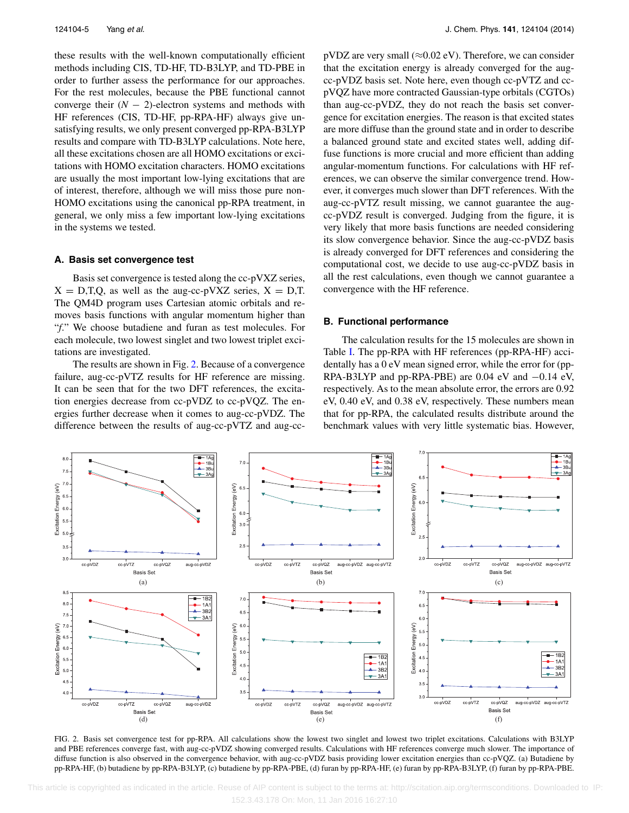these results with the well-known computationally efficient methods including CIS, TD-HF, TD-B3LYP, and TD-PBE in order to further assess the performance for our approaches. For the rest molecules, because the PBE functional cannot converge their  $(N - 2)$ -electron systems and methods with HF references (CIS, TD-HF, pp-RPA-HF) always give unsatisfying results, we only present converged pp-RPA-B3LYP results and compare with TD-B3LYP calculations. Note here, all these excitations chosen are all HOMO excitations or excitations with HOMO excitation characters. HOMO excitations are usually the most important low-lying excitations that are of interest, therefore, although we will miss those pure non-HOMO excitations using the canonical pp-RPA treatment, in general, we only miss a few important low-lying excitations in the systems we tested.

#### **A. Basis set convergence test**

Basis set convergence is tested along the cc-pVXZ series,  $X = D,T,Q$ , as well as the aug-cc-pVXZ series,  $X = D,T$ . The QM4D program uses Cartesian atomic orbitals and removes basis functions with angular momentum higher than "*f*." We choose butadiene and furan as test molecules. For each molecule, two lowest singlet and two lowest triplet excitations are investigated.

The results are shown in Fig. [2.](#page-5-0) Because of a convergence failure, aug-cc-pVTZ results for HF reference are missing. It can be seen that for the two DFT references, the excitation energies decrease from cc-pVDZ to cc-pVQZ. The energies further decrease when it comes to aug-cc-pVDZ. The difference between the results of aug-cc-pVTZ and aug-ccpVDZ are very small ( $\approx$ 0.02 eV). Therefore, we can consider that the excitation energy is already converged for the augcc-pVDZ basis set. Note here, even though cc-pVTZ and ccpVQZ have more contracted Gaussian-type orbitals (CGTOs) than aug-cc-pVDZ, they do not reach the basis set convergence for excitation energies. The reason is that excited states are more diffuse than the ground state and in order to describe a balanced ground state and excited states well, adding diffuse functions is more crucial and more efficient than adding angular-momentum functions. For calculations with HF references, we can observe the similar convergence trend. However, it converges much slower than DFT references. With the aug-cc-pVTZ result missing, we cannot guarantee the augcc-pVDZ result is converged. Judging from the figure, it is very likely that more basis functions are needed considering its slow convergence behavior. Since the aug-cc-pVDZ basis is already converged for DFT references and considering the computational cost, we decide to use aug-cc-pVDZ basis in all the rest calculations, even though we cannot guarantee a convergence with the HF reference.

#### **B. Functional performance**

The calculation results for the 15 molecules are shown in Table [I.](#page-6-0) The pp-RPA with HF references (pp-RPA-HF) accidentally has a 0 eV mean signed error, while the error for (pp-RPA-B3LYP and pp-RPA-PBE) are 0.04 eV and −0.14 eV, respectively. As to the mean absolute error, the errors are 0.92 eV, 0.40 eV, and 0.38 eV, respectively. These numbers mean that for pp-RPA, the calculated results distribute around the benchmark values with very little systematic bias. However,

<span id="page-5-0"></span>

FIG. 2. Basis set convergence test for pp-RPA. All calculations show the lowest two singlet and lowest two triplet excitations. Calculations with B3LYP and PBE references converge fast, with aug-cc-pVDZ showing converged results. Calculations with HF references converge much slower. The importance of diffuse function is also observed in the convergence behavior, with aug-cc-pVDZ basis providing lower excitation energies than cc-pVQZ. (a) Butadiene by pp-RPA-HF, (b) butadiene by pp-RPA-B3LYP, (c) butadiene by pp-RPA-PBE, (d) furan by pp-RPA-HF, (e) furan by pp-RPA-B3LYP, (f) furan by pp-RPA-PBE.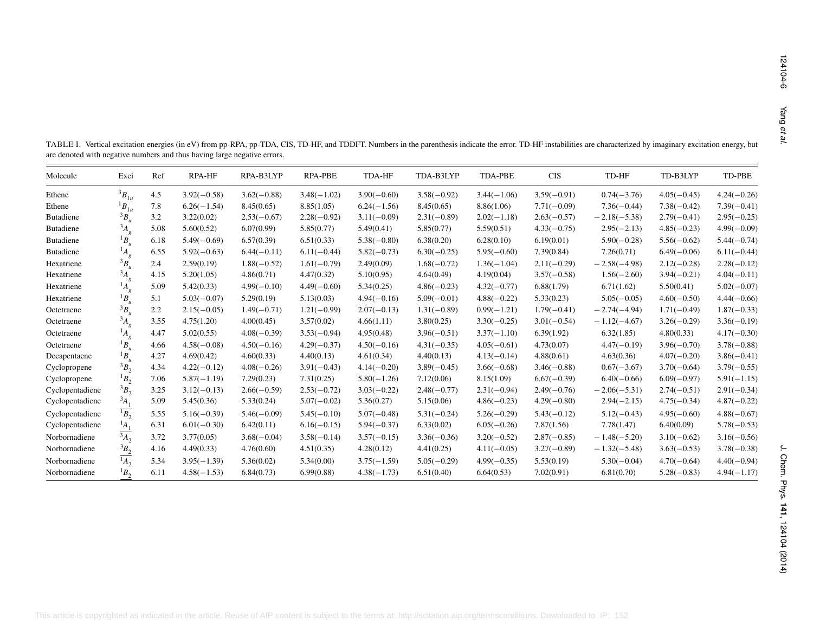<span id="page-6-0"></span>

| Molecule        | Exci                      | Ref  | RPA-HF        | RPA-B3LYP     | RPA-PBE       | TDA-HF        | TDA-B3LYP     | TDA-PBE       | <b>CIS</b>    | TD-HF          | TD-B3LYP      | $TD-PBE$      |
|-----------------|---------------------------|------|---------------|---------------|---------------|---------------|---------------|---------------|---------------|----------------|---------------|---------------|
| Ethene          | ${}^3B_{1u}$              | 4.5  | $3.92(-0.58)$ | $3.62(-0.88)$ | $3.48(-1.02)$ | $3.90(-0.60)$ | $3.58(-0.92)$ | $3.44(-1.06)$ | $3.59(-0.91)$ | $0.74(-3.76)$  | $4.05(-0.45)$ | $4.24(-0.26)$ |
| Ethene          | ${}^{1}B_{1u}$            | 7.8  | $6.26(-1.54)$ | 8.45(0.65)    | 8.85(1.05)    | $6.24(-1.56)$ | 8.45(0.65)    | 8.86(1.06)    | $7.71(-0.09)$ | $7.36(-0.44)$  | $7.38(-0.42)$ | $7.39(-0.41)$ |
| Butadiene       | ${}^3B_u$                 | 3.2  | 3.22(0.02)    | $2.53(-0.67)$ | $2.28(-0.92)$ | $3.11(-0.09)$ | $2.31(-0.89)$ | $2.02(-1.18)$ | $2.63(-0.57)$ | $-2.18(-5.38)$ | $2.79(-0.41)$ | $2.95(-0.25)$ |
| Butadiene       | $^{3}A_{g}$               | 5.08 | 5.60(0.52)    | 6.07(0.99)    | 5.85(0.77)    | 5.49(0.41)    | 5.85(0.77)    | 5.59(0.51)    | $4.33(-0.75)$ | $2.95(-2.13)$  | $4.85(-0.23)$ | $4.99(-0.09)$ |
| Butadiene       | ${}^1B_u$                 | 6.18 | $5.49(-0.69)$ | 6.57(0.39)    | 6.51(0.33)    | $5.38(-0.80)$ | 6.38(0.20)    | 6.28(0.10)    | 6.19(0.01)    | $5.90(-0.28)$  | $5.56(-0.62)$ | $5.44(-0.74)$ |
| Butadiene       | $^{1}A_{g}$               | 6.55 | $5.92(-0.63)$ | $6.44(-0.11)$ | $6.11(-0.44)$ | $5.82(-0.73)$ | $6.30(-0.25)$ | $5.95(-0.60)$ | 7.39(0.84)    | 7.26(0.71)     | $6.49(-0.06)$ | $6.11(-0.44)$ |
| Hexatriene      | $\frac{3}{B_u}$           | 2.4  | 2.59(0.19)    | $1.88(-0.52)$ | $1.61(-0.79)$ | 2.49(0.09)    | $1.68(-0.72)$ | $1.36(-1.04)$ | $2.11(-0.29)$ | $-2.58(-4.98)$ | $2.12(-0.28)$ | $2.28(-0.12)$ |
| Hexatriene      | $^{3}A_{g}$               | 4.15 | 5.20(1.05)    | 4.86(0.71)    | 4.47(0.32)    | 5.10(0.95)    | 4.64(0.49)    | 4.19(0.04)    | $3.57(-0.58)$ | $1.56(-2.60)$  | $3.94(-0.21)$ | $4.04(-0.11)$ |
| Hexatriene      | $^1A_g$                   | 5.09 | 5.42(0.33)    | $4.99(-0.10)$ | $4.49(-0.60)$ | 5.34(0.25)    | $4.86(-0.23)$ | $4.32(-0.77)$ | 6.88(1.79)    | 6.71(1.62)     | 5.50(0.41)    | $5.02(-0.07)$ |
| Hexatriene      | ${}^1B_u$                 | 5.1  | $5.03(-0.07)$ | 5.29(0.19)    | 5.13(0.03)    | $4.94(-0.16)$ | $5.09(-0.01)$ | $4.88(-0.22)$ | 5.33(0.23)    | $5.05(-0.05)$  | $4.60(-0.50)$ | $4.44(-0.66)$ |
| Octetraene      | ${}^3B_u$                 | 2.2  | $2.15(-0.05)$ | $1.49(-0.71)$ | $1.21(-0.99)$ | $2.07(-0.13)$ | $1.31(-0.89)$ | $0.99(-1.21)$ | $1.79(-0.41)$ | $-2.74(-4.94)$ | $1.71(-0.49)$ | $1.87(-0.33)$ |
| Octetraene      | $^{3}A_{g}$               | 3.55 | 4.75(1.20)    | 4.00(0.45)    | 3.57(0.02)    | 4.66(1.11)    | 3.80(0.25)    | $3.30(-0.25)$ | $3.01(-0.54)$ | $-1.12(-4.67)$ | $3.26(-0.29)$ | $3.36(-0.19)$ |
| Octetraene      | $^1A_g$                   | 4.47 | 5.02(0.55)    | $4.08(-0.39)$ | $3.53(-0.94)$ | 4.95(0.48)    | $3.96(-0.51)$ | $3.37(-1.10)$ | 6.39(1.92)    | 6.32(1.85)     | 4.80(0.33)    | $4.17(-0.30)$ |
| Octetraene      | ${}^1B_u$                 | 4.66 | $4.58(-0.08)$ | $4.50(-0.16)$ | $4.29(-0.37)$ | $4.50(-0.16)$ | $4.31(-0.35)$ | $4.05(-0.61)$ | 4.73(0.07)    | $4.47(-0.19)$  | $3.96(-0.70)$ | $3.78(-0.88)$ |
| Decapentaene    | ${}^1B_u$                 | 4.27 | 4.69(0.42)    | 4.60(0.33)    | 4.40(0.13)    | 4.61(0.34)    | 4.40(0.13)    | $4.13(-0.14)$ | 4.88(0.61)    | 4.63(0.36)     | $4.07(-0.20)$ | $3.86(-0.41)$ |
| Cyclopropene    | $3B_2$                    | 4.34 | $4.22(-0.12)$ | $4.08(-0.26)$ | $3.91(-0.43)$ | $4.14(-0.20)$ | $3.89(-0.45)$ | $3.66(-0.68)$ | $3.46(-0.88)$ | $0.67(-3.67)$  | $3.70(-0.64)$ | $3.79(-0.55)$ |
| Cyclopropene    | ${}^1B_2$                 | 7.06 | $5.87(-1.19)$ | 7.29(0.23)    | 7.31(0.25)    | $5.80(-1.26)$ | 7.12(0.06)    | 8.15(1.09)    | $6.67(-0.39)$ | $6.40(-0.66)$  | $6.09(-0.97)$ | $5.91(-1.15)$ |
| Cyclopentadiene | $3B_2$                    | 3.25 | $3.12(-0.13)$ | $2.66(-0.59)$ | $2.53(-0.72)$ | $3.03(-0.22)$ | $2.48(-0.77)$ | $2.31(-0.94)$ | $2.49(-0.76)$ | $-2.06(-5.31)$ | $2.74(-0.51)$ | $2.91(-0.34)$ |
| Cyclopentadiene | $A_1$                     | 5.09 | 5.45(0.36)    | 5.33(0.24)    | $5.07(-0.02)$ | 5.36(0.27)    | 5.15(0.06)    | $4.86(-0.23)$ | $4.29(-0.80)$ | $2.94(-2.15)$  | $4.75(-0.34)$ | $4.87(-0.22)$ |
| Cyclopentadiene | $\overline{B_2}$          | 5.55 | $5.16(-0.39)$ | $5.46(-0.09)$ | $5.45(-0.10)$ | $5.07(-0.48)$ | $5.31(-0.24)$ | $5.26(-0.29)$ | $5.43(-0.12)$ | $5.12(-0.43)$  | $4.95(-0.60)$ | $4.88(-0.67)$ |
| Cyclopentadiene | $^{1}\underline{A_1}$     | 6.31 | $6.01(-0.30)$ | 6.42(0.11)    | $6.16(-0.15)$ | $5.94(-0.37)$ | 6.33(0.02)    | $6.05(-0.26)$ | 7.87(1.56)    | 7.78(1.47)     | 6.40(0.09)    | $5.78(-0.53)$ |
| Norbornadiene   | $\frac{1}{3A_2}$          | 3.72 | 3.77(0.05)    | $3.68(-0.04)$ | $3.58(-0.14)$ | $3.57(-0.15)$ | $3.36(-0.36)$ | $3.20(-0.52)$ | $2.87(-0.85)$ | $-1.48(-5.20)$ | $3.10(-0.62)$ | $3.16(-0.56)$ |
| Norbornadiene   |                           | 4.16 | 4.49(0.33)    | 4.76(0.60)    | 4.51(0.35)    | 4.28(0.12)    | 4.41(0.25)    | $4.11(-0.05)$ | $3.27(-0.89)$ | $-1.32(-5.48)$ | $3.63(-0.53)$ | $3.78(-0.38)$ |
| Norbornadiene   | $\frac{{}^3B_2}{{}^1A_2}$ | 5.34 | $3.95(-1.39)$ | 5.36(0.02)    | 5.34(0.00)    | $3.75(-1.59)$ | $5.05(-0.29)$ | $4.99(-0.35)$ | 5.53(0.19)    | $5.30(-0.04)$  | $4.70(-0.64)$ | $4.40(-0.94)$ |
| Norbornadiene   | ${}^1B_2$                 | 6.11 | $4.58(-1.53)$ | 6.84(0.73)    | 6.99(0.88)    | $4.38(-1.73)$ | 6.51(0.40)    | 6.64(0.53)    | 7.02(0.91)    | 6.81(0.70)     | $5.28(-0.83)$ | $4.94(-1.17)$ |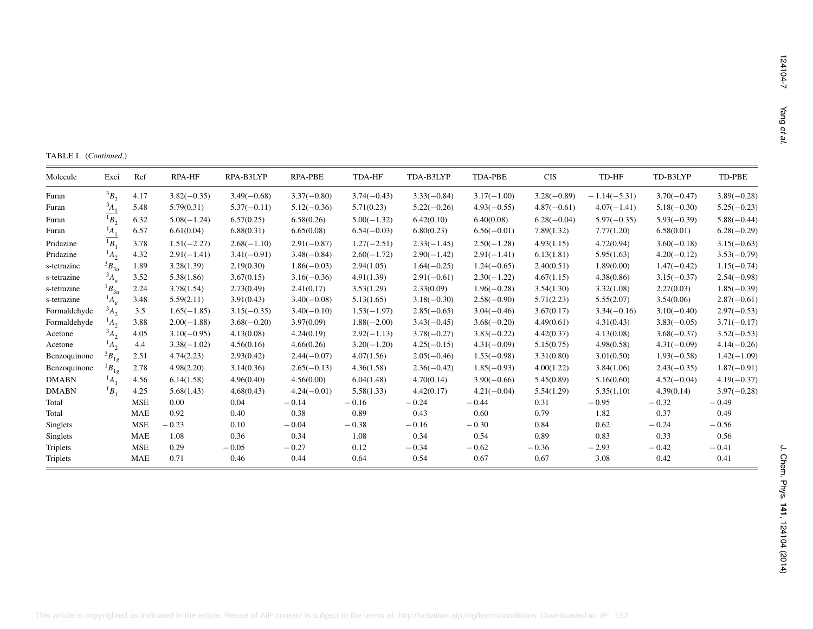| Molecule        | Exci               | Ref        | RPA-HF        | RPA-B3LYP     | RPA-PBE       | TDA-HF        | TDA-B3LYP     | TDA-PBE       | $\rm CIS$     | TD-HF          | TD-B3LYP      | TD-PBE        |
|-----------------|--------------------|------------|---------------|---------------|---------------|---------------|---------------|---------------|---------------|----------------|---------------|---------------|
| Furan           | $3B_2$             | 4.17       | $3.82(-0.35)$ | $3.49(-0.68)$ | $3.37(-0.80)$ | $3.74(-0.43)$ | $3.33(-0.84)$ | $3.17(-1.00)$ | $3.28(-0.89)$ | $-1.14(-5.31)$ | $3.70(-0.47)$ | $3.89(-0.28)$ |
| Furan           | $A_1$              | 5.48       | 5.79(0.31)    | $5.37(-0.11)$ | $5.12(-0.36)$ | 5.71(0.23)    | $5.22(-0.26)$ | $4.93(-0.55)$ | $4.87(-0.61)$ | $4.07(-1.41)$  | $5.18(-0.30)$ | $5.25(-0.23)$ |
| Furan           | $\overline{B_2}$   | 6.32       | $5.08(-1.24)$ | 6.57(0.25)    | 6.58(0.26)    | $5.00(-1.32)$ | 6.42(0.10)    | 6.40(0.08)    | $6.28(-0.04)$ | $5.97(-0.35)$  | $5.93(-0.39)$ | $5.88(-0.44)$ |
| Furan           | $^{1}A_{1}$        | 6.57       | 6.61(0.04)    | 6.88(0.31)    | 6.65(0.08)    | $6.54(-0.03)$ | 6.80(0.23)    | $6.56(-0.01)$ | 7.89(1.32)    | 7.77(1.20)     | 6.58(0.01)    | $6.28(-0.29)$ |
| Pridazine       | $\overline{^1B_1}$ | 3.78       | $1.51(-2.27)$ | $2.68(-1.10)$ | $2.91(-0.87)$ | $1.27(-2.51)$ | $2.33(-1.45)$ | $2.50(-1.28)$ | 4.93(1.15)    | 4.72(0.94)     | $3.60(-0.18)$ | $3.15(-0.63)$ |
| Pridazine       | $^{1}A_{2}$        | 4.32       | $2.91(-1.41)$ | $3.41(-0.91)$ | $3.48(-0.84)$ | $2.60(-1.72)$ | $2.90(-1.42)$ | $2.91(-1.41)$ | 6.13(1.81)    | 5.95(1.63)     | $4.20(-0.12)$ | $3.53(-0.79)$ |
| s-tetrazine     | $3B_{3u}$          | 1.89       | 3.28(1.39)    | 2.19(0.30)    | $1.86(-0.03)$ | 2.94(1.05)    | $1.64(-0.25)$ | $1.24(-0.65)$ | 2.40(0.51)    | 1.89(0.00)     | $1.47(-0.42)$ | $1.15(-0.74)$ |
| s-tetrazine     | ${}^3A_u$          | 3.52       | 5.38(1.86)    | 3.67(0.15)    | $3.16(-0.36)$ | 4.91(1.39)    | $2.91(-0.61)$ | $2.30(-1.22)$ | 4.67(1.15)    | 4.38(0.86)     | $3.15(-0.37)$ | $2.54(-0.98)$ |
| s-tetrazine     | ${}^{1}B_{3u}$     | 2.24       | 3.78(1.54)    | 2.73(0.49)    | 2.41(0.17)    | 3.53(1.29)    | 2.33(0.09)    | $1.96(-0.28)$ | 3.54(1.30)    | 3.32(1.08)     | 2.27(0.03)    | $1.85(-0.39)$ |
| s-tetrazine     | $^{1}A_{u}$        | 3.48       | 5.59(2.11)    | 3.91(0.43)    | $3.40(-0.08)$ | 5.13(1.65)    | $3.18(-0.30)$ | $2.58(-0.90)$ | 5.71(2.23)    | 5.55(2.07)     | 3.54(0.06)    | $2.87(-0.61)$ |
| Formaldehyde    | $3A_2$             | 3.5        | $1.65(-1.85)$ | $3.15(-0.35)$ | $3.40(-0.10)$ | $1.53(-1.97)$ | $2.85(-0.65)$ | $3.04(-0.46)$ | 3.67(0.17)    | $3.34(-0.16)$  | $3.10(-0.40)$ | $2.97(-0.53)$ |
| Formaldehyde    | $^{1}A_{2}$        | 3.88       | $2.00(-1.88)$ | $3.68(-0.20)$ | 3.97(0.09)    | $1.88(-2.00)$ | $3.43(-0.45)$ | $3.68(-0.20)$ | 4.49(0.61)    | 4.31(0.43)     | $3.83(-0.05)$ | $3.71(-0.17)$ |
| Acetone         | $\overline{A_2}$   | 4.05       | $3.10(-0.95)$ | 4.13(0.08)    | 4.24(0.19)    | $2.92(-1.13)$ | $3.78(-0.27)$ | $3.83(-0.22)$ | 4.42(0.37)    | 4.13(0.08)     | $3.68(-0.37)$ | $3.52(-0.53)$ |
| Acetone         | $^{1}A_{2}$        | 4.4        | $3.38(-1.02)$ | 4.56(0.16)    | 4.66(0.26)    | $3.20(-1.20)$ | $4.25(-0.15)$ | $4.31(-0.09)$ | 5.15(0.75)    | 4.98(0.58)     | $4.31(-0.09)$ | $4.14(-0.26)$ |
| Benzoquinone    | $^3B_{1g}$         | 2.51       | 4.74(2.23)    | 2.93(0.42)    | $2.44(-0.07)$ | 4.07(1.56)    | $2.05(-0.46)$ | $1.53(-0.98)$ | 3.31(0.80)    | 3.01(0.50)     | $1.93(-0.58)$ | $1.42(-1.09)$ |
| Benzoquinone    | $^1B_{1g}$         | 2.78       | 4.98(2.20)    | 3.14(0.36)    | $2.65(-0.13)$ | 4.36(1.58)    | $2.36(-0.42)$ | $1.85(-0.93)$ | 4.00(1.22)    | 3.84(1.06)     | $2.43(-0.35)$ | $1.87(-0.91)$ |
| <b>DMABN</b>    | $\overline{A_1}$   | 4.56       | 6.14(1.58)    | 4.96(0.40)    | 4.56(0.00)    | 6.04(1.48)    | 4.70(0.14)    | $3.90(-0.66)$ | 5.45(0.89)    | 5.16(0.60)     | $4.52(-0.04)$ | $4.19(-0.37)$ |
| <b>DMABN</b>    | ${}^1B_1$          | 4.25       | 5.68(1.43)    | 4.68(0.43)    | $4.24(-0.01)$ | 5.58(1.33)    | 4.42(0.17)    | $4.21(-0.04)$ | 5.54(1.29)    | 5.35(1.10)     | 4.39(0.14)    | $3.97(-0.28)$ |
| Total           |                    | MSE        | 0.00          | 0.04          | $-0.14$       | $-0.16$       | $-0.24$       | $-0.44$       | 0.31          | $-0.95$        | $-0.32$       | $-0.49$       |
| Total           |                    | <b>MAE</b> | 0.92          | 0.40          | 0.38          | 0.89          | 0.43          | 0.60          | 0.79          | 1.82           | 0.37          | 0.49          |
| <b>Singlets</b> |                    | <b>MSE</b> | $-0.23$       | 0.10          | $-0.04$       | $-0.38$       | $-0.16$       | $-0.30$       | 0.84          | 0.62           | $-0.24$       | $-0.56$       |
| Singlets        |                    | <b>MAE</b> | 1.08          | 0.36          | 0.34          | 1.08          | 0.34          | 0.54          | 0.89          | 0.83           | 0.33          | 0.56          |
| Triplets        |                    | <b>MSE</b> | 0.29          | $-0.05$       | $-0.27$       | 0.12          | $-0.34$       | $-0.62$       | $-0.36$       | $-2.93$        | $-0.42$       | $-0.41$       |
| Triplets        |                    | <b>MAE</b> | 0.71          | 0.46          | 0.44          | 0.64          | 0.54          | 0.67          | 0.67          | 3.08           | 0.42          | 0.41          |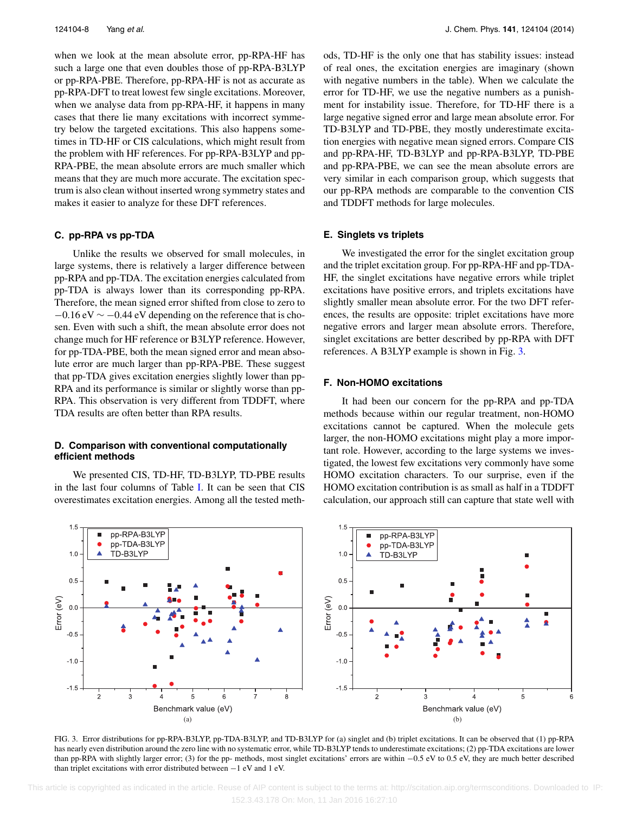when we look at the mean absolute error, pp-RPA-HF has such a large one that even doubles those of pp-RPA-B3LYP or pp-RPA-PBE. Therefore, pp-RPA-HF is not as accurate as pp-RPA-DFT to treat lowest few single excitations. Moreover, when we analyse data from pp-RPA-HF, it happens in many cases that there lie many excitations with incorrect symmetry below the targeted excitations. This also happens sometimes in TD-HF or CIS calculations, which might result from the problem with HF references. For pp-RPA-B3LYP and pp-RPA-PBE, the mean absolute errors are much smaller which means that they are much more accurate. The excitation spectrum is also clean without inserted wrong symmetry states and makes it easier to analyze for these DFT references.

#### **C. pp-RPA vs pp-TDA**

Unlike the results we observed for small molecules, in large systems, there is relatively a larger difference between pp-RPA and pp-TDA. The excitation energies calculated from pp-TDA is always lower than its corresponding pp-RPA. Therefore, the mean signed error shifted from close to zero to  $-0.16$  eV  $\sim$   $-0.44$  eV depending on the reference that is chosen. Even with such a shift, the mean absolute error does not change much for HF reference or B3LYP reference. However, for pp-TDA-PBE, both the mean signed error and mean absolute error are much larger than pp-RPA-PBE. These suggest that pp-TDA gives excitation energies slightly lower than pp-RPA and its performance is similar or slightly worse than pp-RPA. This observation is very different from TDDFT, where TDA results are often better than RPA results.

## **D. Comparison with conventional computationally efficient methods**

We presented CIS, TD-HF, TD-B3LYP, TD-PBE results in the last four columns of Table [I.](#page-6-0) It can be seen that CIS overestimates excitation energies. Among all the tested methods, TD-HF is the only one that has stability issues: instead of real ones, the excitation energies are imaginary (shown with negative numbers in the table). When we calculate the error for TD-HF, we use the negative numbers as a punishment for instability issue. Therefore, for TD-HF there is a large negative signed error and large mean absolute error. For TD-B3LYP and TD-PBE, they mostly underestimate excitation energies with negative mean signed errors. Compare CIS and pp-RPA-HF, TD-B3LYP and pp-RPA-B3LYP, TD-PBE and pp-RPA-PBE, we can see the mean absolute errors are very similar in each comparison group, which suggests that our pp-RPA methods are comparable to the convention CIS and TDDFT methods for large molecules.

#### **E. Singlets vs triplets**

We investigated the error for the singlet excitation group and the triplet excitation group. For pp-RPA-HF and pp-TDA-HF, the singlet excitations have negative errors while triplet excitations have positive errors, and triplets excitations have slightly smaller mean absolute error. For the two DFT references, the results are opposite: triplet excitations have more negative errors and larger mean absolute errors. Therefore, singlet excitations are better described by pp-RPA with DFT references. A B3LYP example is shown in Fig. [3.](#page-8-0)

## **F. Non-HOMO excitations**

It had been our concern for the pp-RPA and pp-TDA methods because within our regular treatment, non-HOMO excitations cannot be captured. When the molecule gets larger, the non-HOMO excitations might play a more important role. However, according to the large systems we investigated, the lowest few excitations very commonly have some HOMO excitation characters. To our surprise, even if the HOMO excitation contribution is as small as half in a TDDFT calculation, our approach still can capture that state well with

<span id="page-8-0"></span>

FIG. 3. Error distributions for pp-RPA-B3LYP, pp-TDA-B3LYP, and TD-B3LYP for (a) singlet and (b) triplet excitations. It can be observed that (1) pp-RPA has nearly even distribution around the zero line with no systematic error, while TD-B3LYP tends to underestimate excitations; (2) pp-TDA excitations are lower than pp-RPA with slightly larger error; (3) for the pp- methods, most singlet excitations' errors are within −0.5 eV to 0.5 eV, they are much better described than triplet excitations with error distributed between −1 eV and 1 eV.

 This article is copyrighted as indicated in the article. Reuse of AIP content is subject to the terms at: http://scitation.aip.org/termsconditions. Downloaded to IP: 152.3.43.178 On: Mon, 11 Jan 2016 16:27:10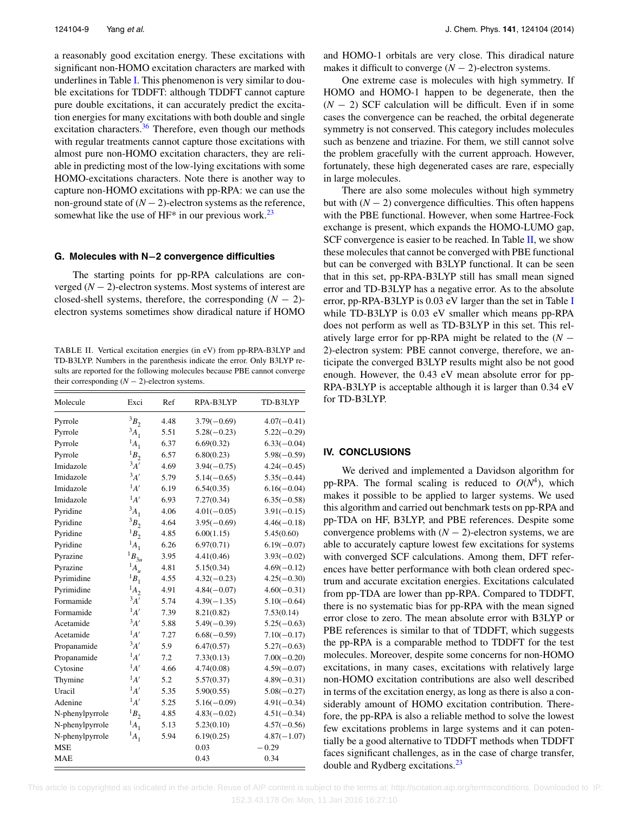a reasonably good excitation energy. These excitations with significant non-HOMO excitation characters are marked with underlines in Table [I.](#page-6-0) This phenomenon is very similar to double excitations for TDDFT: although TDDFT cannot capture pure double excitations, it can accurately predict the excitation energies for many excitations with both double and single excitation characters.<sup>[36](#page-10-29)</sup> Therefore, even though our methods with regular treatments cannot capture those excitations with almost pure non-HOMO excitation characters, they are reliable in predicting most of the low-lying excitations with some HOMO-excitations characters. Note there is another way to capture non-HOMO excitations with pp-RPA: we can use the non-ground state of  $(N - 2)$ -electron systems as the reference, somewhat like the use of  $HF^*$  in our previous work.<sup>[23](#page-10-16)</sup>

#### **G. Molecules with N−2 convergence difficulties**

The starting points for pp-RPA calculations are converged (*N* − 2)-electron systems. Most systems of interest are closed-shell systems, therefore, the corresponding  $(N - 2)$ electron systems sometimes show diradical nature if HOMO

<span id="page-9-1"></span>TABLE II. Vertical excitation energies (in eV) from pp-RPA-B3LYP and TD-B3LYP. Numbers in the parenthesis indicate the error. Only B3LYP results are reported for the following molecules because PBE cannot converge their corresponding  $(N - 2)$ -electron systems.

| Molecule        | Exci        | Ref  | RPA-B3LYP     | TD-B3LYP      |
|-----------------|-------------|------|---------------|---------------|
| Pyrrole         | ${}^3B_2$   | 4.48 | $3.79(-0.69)$ | $4.07(-0.41)$ |
| Pyrrole         | $3A_1$      | 5.51 | $5.28(-0.23)$ | $5.22(-0.29)$ |
| Pyrrole         | $^{1}A_{1}$ | 6.37 | 6.69(0.32)    | $6.33(-0.04)$ |
| Pyrrole         | ${}^1B_2$   | 6.57 | 6.80(0.23)    | $5.98(-0.59)$ |
| Imidazole       | $^3A'$      | 4.69 | $3.94(-0.75)$ | $4.24(-0.45)$ |
| Imidazole       | $^3A'$      | 5.79 | $5.14(-0.65)$ | $5.35(-0.44)$ |
| Imidazole       | $^{1}A'$    | 6.19 | 6.54(0.35)    | $6.16(-0.04)$ |
| Imidazole       | $^{1}A'$    | 6.93 | 7.27(0.34)    | $6.35(-0.58)$ |
| Pyridine        | $3A_1$      | 4.06 | $4.01(-0.05)$ | $3.91(-0.15)$ |
| Pyridine        | ${}^3B_2$   | 4.64 | $3.95(-0.69)$ | $4.46(-0.18)$ |
| Pyridine        | ${}^1B_2$   | 4.85 | 6.00(1.15)    | 5.45(0.60)    |
| Pyridine        | $^{1}A_{1}$ | 6.26 | 6.97(0.71)    | $6.19(-0.07)$ |
| Pyrazine        | $^1B_{3u}$  | 3.95 | 4.41(0.46)    | $3.93(-0.02)$ |
| Pyrazine        | $^1A_u$     | 4.81 | 5.15(0.34)    | $4.69(-0.12)$ |
| Pyrimidine      | $^1B_1$     | 4.55 | $4.32(-0.23)$ | $4.25(-0.30)$ |
| Pyrimidine      | $^{1}A_{2}$ | 4.91 | $4.84(-0.07)$ | $4.60(-0.31)$ |
| Formamide       | $^3A'$      | 5.74 | $4.39(-1.35)$ | $5.10(-0.64)$ |
| Formamide       | $^{1}A'$    | 7.39 | 8.21(0.82)    | 7.53(0.14)    |
| Acetamide       | $^3A'$      | 5.88 | $5.49(-0.39)$ | $5.25(-0.63)$ |
| Acetamide       | $^1A'$      | 7.27 | $6.68(-0.59)$ | $7.10(-0.17)$ |
| Propanamide     | $^3A'$      | 5.9  | 6.47(0.57)    | $5.27(-0.63)$ |
| Propanamide     | $^{1}A'$    | 7.2  | 7.33(0.13)    | $7.00(-0.20)$ |
| Cytosine        | $^1A'$      | 4.66 | 4.74(0.08)    | $4.59(-0.07)$ |
| Thymine         | $^{1}A'$    | 5.2  | 5.57(0.37)    | $4.89(-0.31)$ |
| Uracil          | $^{1}A'$    | 5.35 | 5.90(0.55)    | $5.08(-0.27)$ |
| Adenine         | $^{1}A'$    | 5.25 | $5.16(-0.09)$ | $4.91(-0.34)$ |
| N-phenylpyrrole | ${}^1B_2$   | 4.85 | $4.83(-0.02)$ | $4.51(-0.34)$ |
| N-phenylpyrrole | $^{1}A_{1}$ | 5.13 | 5.23(0.10)    | $4.57(-0.56)$ |
| N-phenylpyrrole | $^{1}A_{1}$ | 5.94 | 6.19(0.25)    | $4.87(-1.07)$ |
| <b>MSE</b>      |             |      | 0.03          | $-0.29$       |
| <b>MAE</b>      |             |      | 0.43          | 0.34          |

and HOMO-1 orbitals are very close. This diradical nature makes it difficult to converge  $(N - 2)$ -electron systems.

One extreme case is molecules with high symmetry. If HOMO and HOMO-1 happen to be degenerate, then the (*N* − 2) SCF calculation will be difficult. Even if in some cases the convergence can be reached, the orbital degenerate symmetry is not conserved. This category includes molecules such as benzene and triazine. For them, we still cannot solve the problem gracefully with the current approach. However, fortunately, these high degenerated cases are rare, especially in large molecules.

There are also some molecules without high symmetry but with  $(N - 2)$  convergence difficulties. This often happens with the PBE functional. However, when some Hartree-Fock exchange is present, which expands the HOMO-LUMO gap, SCF convergence is easier to be reached. In Table  $II$ , we show these molecules that cannot be converged with PBE functional but can be converged with B3LYP functional. It can be seen that in this set, pp-RPA-B3LYP still has small mean signed error and TD-B3LYP has a negative error. As to the absolute error, pp-RPA-B3LYP is 0.03 eV larger than the set in Table [I](#page-6-0) while TD-B3LYP is 0.03 eV smaller which means pp-RPA does not perform as well as TD-B3LYP in this set. This relatively large error for pp-RPA might be related to the  $(N -$ 2)-electron system: PBE cannot converge, therefore, we anticipate the converged B3LYP results might also be not good enough. However, the 0.43 eV mean absolute error for pp-RPA-B3LYP is acceptable although it is larger than 0.34 eV for TD-B3LYP.

#### <span id="page-9-0"></span>**IV. CONCLUSIONS**

We derived and implemented a Davidson algorithm for pp-RPA. The formal scaling is reduced to  $O(N^4)$ , which makes it possible to be applied to larger systems. We used this algorithm and carried out benchmark tests on pp-RPA and pp-TDA on HF, B3LYP, and PBE references. Despite some convergence problems with  $(N - 2)$ -electron systems, we are able to accurately capture lowest few excitations for systems with converged SCF calculations. Among them, DFT references have better performance with both clean ordered spectrum and accurate excitation energies. Excitations calculated from pp-TDA are lower than pp-RPA. Compared to TDDFT, there is no systematic bias for pp-RPA with the mean signed error close to zero. The mean absolute error with B3LYP or PBE references is similar to that of TDDFT, which suggests the pp-RPA is a comparable method to TDDFT for the test molecules. Moreover, despite some concerns for non-HOMO excitations, in many cases, excitations with relatively large non-HOMO excitation contributions are also well described in terms of the excitation energy, as long as there is also a considerably amount of HOMO excitation contribution. Therefore, the pp-RPA is also a reliable method to solve the lowest few excitations problems in large systems and it can potentially be a good alternative to TDDFT methods when TDDFT faces significant challenges, as in the case of charge transfer, double and Rydberg excitations.<sup>23</sup>